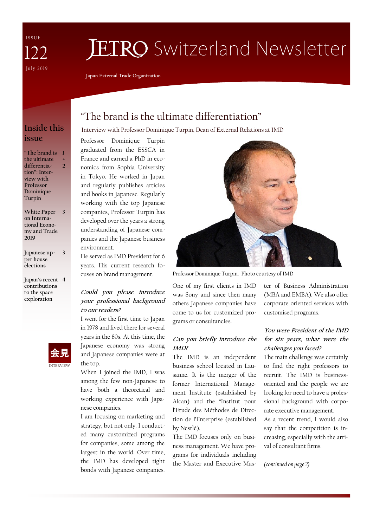I S S U E July 2019 122

# **JETRO** Switzerland Newsletter

**Japan External Trade Organization**

## **Inside this issue**

**"The brand is 1 the ultimate differentiation": Interview with Professor Dominique Turpin 2**

**+**

**White Paper on International Economy and Trade 2019 3**

**Japanese upper house elections 3**

**Japan's recent 4 contributions to the space exploration**



## "The brand is the ultimate differentiation"

Interview with Professor Dominique Turpin, Dean of External Relations at IMD

Professor Dominique Turpin graduated from the ESSCA in France and earned a PhD in economics from Sophia University in Tokyo. He worked in Japan and regularly publishes articles and books in Japanese. Regularly working with the top Japanese companies, Professor Turpin has developed over the years a strong understanding of Japanese companies and the Japanese business environment.

He served as IMD President for 6 years. His current research focuses on brand management.

#### **Could you please introduce your professional background to our readers?**

I went for the first time to Japan in 1978 and lived there for several years in the 80s. At this time, the Japanese economy was strong and Japanese companies were at the top.

When I joined the IMD, I was among the few non-Japanese to have both a theoretical and working experience with Japanese companies.

I am focusing on marketing and strategy, but not only. I conducted many customized programs for companies, some among the largest in the world. Over time, the IMD has developed tight bonds with Japanese companies.



Professor Dominique Turpin. Photo courtesy of IMD

One of my first clients in IMD was Sony and since then many others Japanese companies have come to us for customized programs or consultancies.

#### **Can you briefly introduce the IMD?**

The IMD is an independent business school located in Lausanne. It is the merger of the former International Management Institute (established by Alcan) and the "Institut pour l'Etude des Méthodes de Direction de l'Enterprise (established by Nestlé).

The IMD focuses only on business management. We have programs for individuals including the Master and Executive Master of Business Administration (MBA and EMBA). We also offer corporate oriented services with customised programs.

#### **You were President of the IMD for six years, what were the challenges you faced?**

The main challenge was certainly to find the right professors to recruit. The IMD is businessoriented and the people we are looking for need to have a professional background with corporate executive management.

As a recent trend, I would also say that the competition is increasing, especially with the arrival of consultant firms.

*(continued on page 2)*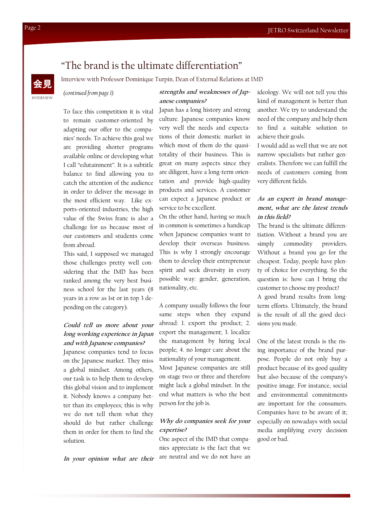## "The brand is the ultimate differentiation"

INTERVIEW 会見

Interview with Professor Dominique Turpin, Dean of External Relations at IMD

#### *(continued from page 1)*

#### **strengths and weaknesses of Japanese companies?**

To face this competition it is vital to remain customer-oriented by adapting our offer to the companies' needs. To achieve this goal we are providing shorter programs available online or developing what I call "edutainment". It is a subtitle balance to find allowing you to catch the attention of the audience in order to deliver the message in the most efficient way. Like exports-oriented industries, the high value of the Swiss franc is also a challenge for us because most of our customers and students come from abroad.

This said, I supposed we managed those challenges pretty well considering that the IMD has been ranked among the very best business school for the last years (8 years in a row as 1st or in top 3 depending on the category).

#### **Could tell us more about your long working experience in Japan and with Japanese companies?**

Japanese companies tend to focus on the Japanese market. They miss a global mindset. Among others, our task is to help them to develop this global vision and to implement it. Nobody knows a company better than its employees; this is why we do not tell them what they should do but rather challenge them in order for them to find the solution.

**In your opinion what are their** 

Japan has a long history and strong culture. Japanese companies know very well the needs and expectations of their domestic market in which most of them do the quasitotality of their business. This is great on many aspects since they are diligent, have a long-term orientation and provide high-quality products and services. A customer can expect a Japanese product or service to be excellent.

On the other hand, having so much in common is sometimes a handicap when Japanese companies want to develop their overseas business. This is why I strongly encourage them to develop their entrepreneur spirit and seek diversity in every possible way: gender, generation, nationality, etc.

A company usually follows the four same steps when they expand abroad: 1. export the product; 2. export the management; 3. localize the management by hiring local people; 4. no longer care about the nationality of your management. Most Japanese companies are still

on stage two or three and therefore might lack a global mindset. In the end what matters is who the best person for the job is.

#### **Why do companies seek for your expertise?**

One aspect of the IMD that companies appreciate is the fact that we are neutral and we do not have an ideology. We will not tell you this kind of management is better than another. We try to understand the need of the company and help them to find a suitable solution to achieve their goals.

I would add as well that we are not narrow specialists but rather generalists. Therefore we can fulfill the needs of customers coming from very different fields.

#### **As an expert in brand management, what are the latest trends in this field?**

The brand is the ultimate differentiation. Without a brand you are simply commodity providers. Without a brand you go for the cheapest. Today, people have plenty of choice for everything. So the question is: how can I bring the customer to choose my product?

A good brand results from longterm efforts. Ultimately, the brand is the result of all the good decisions you made.

One of the latest trends is the rising importance of the brand purpose. People do not only buy a product because of its good quality but also because of the company's positive image. For instance, social and environmental commitments are important for the consumers. Companies have to be aware of it; especially on nowadays with social media amplifying every decision good or bad.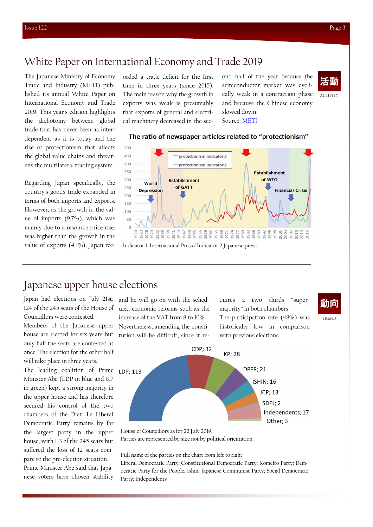## White Paper on International Economy and Trade 2019

The Japanese Ministry of Economy Trade and Industry (METI) published its annual White Paper on International Economy and Trade 2019. This year's edition highlights the dichotomy between global trade that has never been as interdependent as it is today and the rise of protectionism that affects the global value chains and threatens the multilateral trading system.

Regarding Japan specifically, the country's goods trade expanded in terms of both imports and exports. However, as the growth in the value of imports (9.7%), which was mainly due to a resource price rise, was higher than the growth in the value of exports (4.1%), Japan recorded a trade deficit for the first time in three years (since 2015). The main reason why the growth in exports was weak is presumably that exports of general and electrical machinery decreased in the sec-

ond half of the year because the semiconductor market was cyclically weak in a contraction phase and because the Chinese economy slowed down. Source: [METI](https://www.meti.go.jp/english/press/2019/pdf/0718_001a.pdf)



#### The ratio of newspaper articles related to "protectionism"



## Japanese upper house elections

Japan had elections on July 21st; 124 of the 245 seats of the House of Councillors were contested.

Members of the Japanese upper house are elected for six years but only half the seats are contested at once. The election for the other half will take place in three years.

The leading coalition of Prime Minister Abe (LDP in blue and KP in green) kept a strong majority in the upper house and has therefore secured his control of the two chambers of the Diet. Le Liberal Democratic Party remains by far the largest party in the upper house, with 113 of the 245 seats but suffered the loss of 12 seats compare to the pre-election situation. Prime Minister Abe said that Japanese voters have chosen stability

and he will go on with the scheduled economic reforms such as the increase of the VAT from 8 to 10%. Nevertheless, amending the constitution will be difficult, since it requires a two thirds "supermajority" in both chambers. The participation rate (48%) was historically low in comparison with previous elections.



TREND



House of Councillors as for 22 July 2019.

Parties are represented by size not by political orientation.

Full name of the parties on the chart from left to right:

Liberal Democratic Party; Constitutional Democratic Party; Komeito Party; Democratic Party for the People; Ishin; Japanese Communist Party; Social Democratic Party; Independents